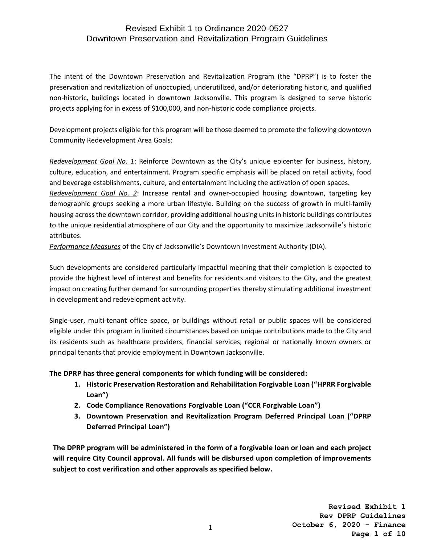The intent of the Downtown Preservation and Revitalization Program (the "DPRP") is to foster the preservation and revitalization of unoccupied, underutilized, and/or deteriorating historic, and qualified non-historic, buildings located in downtown Jacksonville. This program is designed to serve historic projects applying for in excess of \$100,000, and non-historic code compliance projects.

Development projects eligible for this program will be those deemed to promote the following downtown Community Redevelopment Area Goals:

*Redevelopment Goal No. 1*: Reinforce Downtown as the City's unique epicenter for business, history, culture, education, and entertainment. Program specific emphasis will be placed on retail activity, food and beverage establishments, culture, and entertainment including the activation of open spaces.

*Redevelopment Goal No. 2*: Increase rental and owner-occupied housing downtown, targeting key demographic groups seeking a more urban lifestyle. Building on the success of growth in multi-family housing across the downtown corridor, providing additional housing units in historic buildings contributes to the unique residential atmosphere of our City and the opportunity to maximize Jacksonville's historic attributes.

*Performance Measures* of the City of Jacksonville's Downtown Investment Authority (DIA).

Such developments are considered particularly impactful meaning that their completion is expected to provide the highest level of interest and benefits for residents and visitors to the City, and the greatest impact on creating further demand for surrounding properties thereby stimulating additional investment in development and redevelopment activity.

Single-user, multi-tenant office space, or buildings without retail or public spaces will be considered eligible under this program in limited circumstances based on unique contributions made to the City and its residents such as healthcare providers, financial services, regional or nationally known owners or principal tenants that provide employment in Downtown Jacksonville.

**The DPRP has three general components for which funding will be considered:**

- **1. Historic Preservation Restoration and Rehabilitation Forgivable Loan ("HPRR Forgivable Loan")**
- **2. Code Compliance Renovations Forgivable Loan ("CCR Forgivable Loan")**
- **3. Downtown Preservation and Revitalization Program Deferred Principal Loan ("DPRP Deferred Principal Loan")**

**The DPRP program will be administered in the form of a forgivable loan or loan and each project will require City Council approval. All funds will be disbursed upon completion of improvements subject to cost verification and other approvals as specified below.**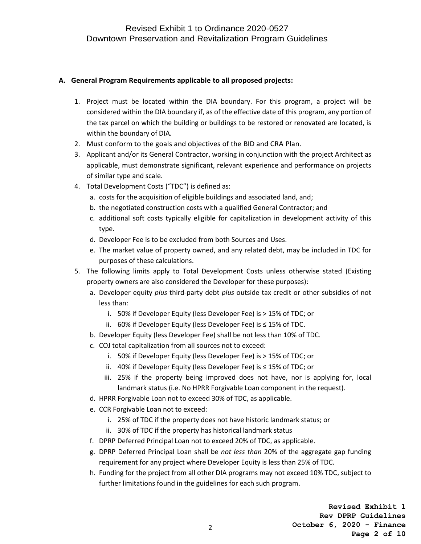#### **A. General Program Requirements applicable to all proposed projects:**

- 1. Project must be located within the DIA boundary. For this program, a project will be considered within the DIA boundary if, as of the effective date of this program, any portion of the tax parcel on which the building or buildings to be restored or renovated are located, is within the boundary of DIA.
- 2. Must conform to the goals and objectives of the BID and CRA Plan.
- 3. Applicant and/or its General Contractor, working in conjunction with the project Architect as applicable, must demonstrate significant, relevant experience and performance on projects of similar type and scale.
- 4. Total Development Costs ("TDC") is defined as:
	- a. costs for the acquisition of eligible buildings and associated land, and;
	- b. the negotiated construction costs with a qualified General Contractor; and
	- c. additional soft costs typically eligible for capitalization in development activity of this type.
	- d. Developer Fee is to be excluded from both Sources and Uses.
	- e. The market value of property owned, and any related debt, may be included in TDC for purposes of these calculations.
- 5. The following limits apply to Total Development Costs unless otherwise stated (Existing property owners are also considered the Developer for these purposes):
	- a. Developer equity *plus* third-party debt *plus* outside tax credit or other subsidies of not less than:
		- i. 50% if Developer Equity (less Developer Fee) is > 15% of TDC; or
		- ii. 60% if Developer Equity (less Developer Fee) is ≤ 15% of TDC.
	- b. Developer Equity (less Developer Fee) shall be not less than 10% of TDC.
	- c. COJ total capitalization from all sources not to exceed:
		- i. 50% if Developer Equity (less Developer Fee) is > 15% of TDC; or
		- ii. 40% if Developer Equity (less Developer Fee) is ≤ 15% of TDC; or
		- iii. 25% if the property being improved does not have, nor is applying for, local landmark status (i.e. No HPRR Forgivable Loan component in the request).
	- d. HPRR Forgivable Loan not to exceed 30% of TDC, as applicable.
	- e. CCR Forgivable Loan not to exceed:
		- i. 25% of TDC if the property does not have historic landmark status; or
		- ii. 30% of TDC if the property has historical landmark status
	- f. DPRP Deferred Principal Loan not to exceed 20% of TDC, as applicable.
	- g. DPRP Deferred Principal Loan shall be *not less than* 20% of the aggregate gap funding requirement for any project where Developer Equity is less than 25% of TDC.
	- h. Funding for the project from all other DIA programs may not exceed 10% TDC, subject to further limitations found in the guidelines for each such program.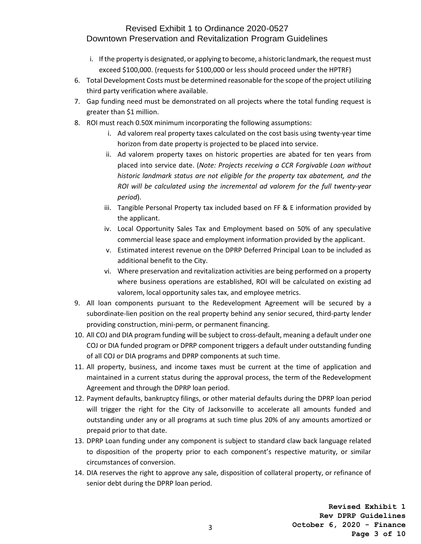- i. If the property is designated, or applying to become, a historic landmark, the request must exceed \$100,000. (requests for \$100,000 or less should proceed under the HPTRF)
- 6. Total Development Costs must be determined reasonable for the scope of the project utilizing third party verification where available.
- 7. Gap funding need must be demonstrated on all projects where the total funding request is greater than \$1 million.
- 8. ROI must reach 0.50X minimum incorporating the following assumptions:
	- i. Ad valorem real property taxes calculated on the cost basis using twenty-year time horizon from date property is projected to be placed into service.
	- ii. Ad valorem property taxes on historic properties are abated for ten years from placed into service date. (*Note: Projects receiving a CCR Forgivable Loan without historic landmark status are not eligible for the property tax abatement, and the ROI will be calculated using the incremental ad valorem for the full twenty-year period*).
	- iii. Tangible Personal Property tax included based on FF & E information provided by the applicant.
	- iv. Local Opportunity Sales Tax and Employment based on 50% of any speculative commercial lease space and employment information provided by the applicant.
	- v. Estimated interest revenue on the DPRP Deferred Principal Loan to be included as additional benefit to the City.
	- vi. Where preservation and revitalization activities are being performed on a property where business operations are established, ROI will be calculated on existing ad valorem, local opportunity sales tax, and employee metrics.
- 9. All loan components pursuant to the Redevelopment Agreement will be secured by a subordinate-lien position on the real property behind any senior secured, third-party lender providing construction, mini-perm, or permanent financing.
- 10. All COJ and DIA program funding will be subject to cross-default, meaning a default under one COJ or DIA funded program or DPRP component triggers a default under outstanding funding of all COJ or DIA programs and DPRP components at such time.
- 11. All property, business, and income taxes must be current at the time of application and maintained in a current status during the approval process, the term of the Redevelopment Agreement and through the DPRP loan period.
- 12. Payment defaults, bankruptcy filings, or other material defaults during the DPRP loan period will trigger the right for the City of Jacksonville to accelerate all amounts funded and outstanding under any or all programs at such time plus 20% of any amounts amortized or prepaid prior to that date.
- 13. DPRP Loan funding under any component is subject to standard claw back language related to disposition of the property prior to each component's respective maturity, or similar circumstances of conversion.
- 14. DIA reserves the right to approve any sale, disposition of collateral property, or refinance of senior debt during the DPRP loan period.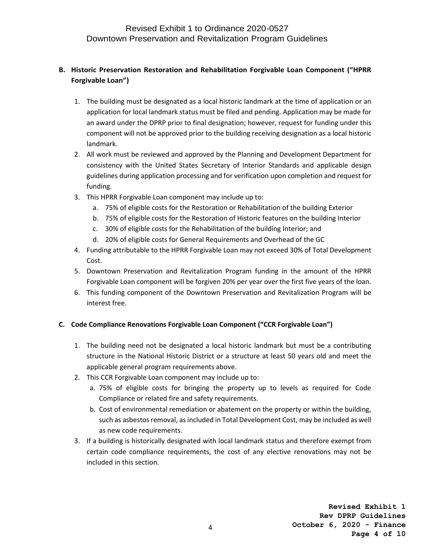### **B. Historic Preservation Restoration and Rehabilitation Forgivable Loan Component ("HPRR Forgivable Loan")**

- 1. The building must be designated as a local historic landmark at the time of application or an application for local landmark status must be filed and pending. Application may be made for an award under the DPRP prior to final designation; however, request for funding under this component will not be approved prior to the building receiving designation as a local historic landmark.
- 2. All work must be reviewed and approved by the Planning and Development Department for consistency with the United States Secretary of Interior Standards and applicable design guidelines during application processing and for verification upon completion and request for funding.
- 3. This HPRR Forgivable Loan component may include up to:
	- a. 75% of eligible costs for the Restoration or Rehabilitation of the building Exterior
	- b. 75% of eligible costs for the Restoration of Historic features on the building Interior
	- c. 30% of eligible costs for the Rehabilitation of the building Interior; and
	- d. 20% of eligible costs for General Requirements and Overhead of the GC
- 4. Funding attributable to the HPRR Forgivable Loan may not exceed 30% of Total Development Cost.
- 5. Downtown Preservation and Revitalization Program funding in the amount of the HPRR Forgivable Loan component will be forgiven 20% per year over the first five years of the loan.
- 6. This funding component of the Downtown Preservation and Revitalization Program will be interest free.

### **C. Code Compliance Renovations Forgivable Loan Component ("CCR Forgivable Loan")**

- 1. The building need not be designated a local historic landmark but must be a contributing structure in the National Historic District or a structure at least 50 years old and meet the applicable general program requirements above.
- 2. This CCR Forgivable Loan component may include up to:
	- a. 75% of eligible costs for bringing the property up to levels as required for Code Compliance or related fire and safety requirements.
	- b. Cost of environmental remediation or abatement on the property or within the building, such as asbestos removal, as included in Total Development Cost, may be included as well as new code requirements.
- 3. If a building is historically designated with local landmark status and therefore exempt from certain code compliance requirements, the cost of any elective renovations may not be included in this section.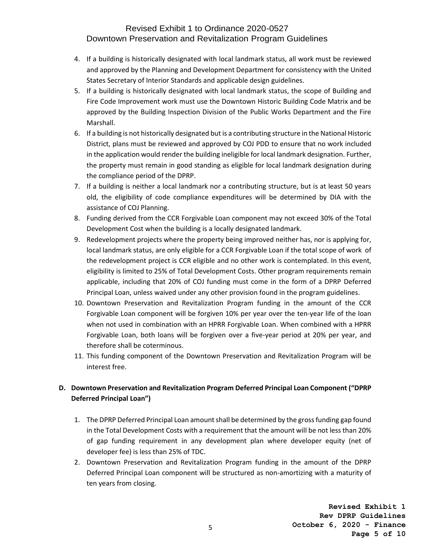- 4. If a building is historically designated with local landmark status, all work must be reviewed and approved by the Planning and Development Department for consistency with the United States Secretary of Interior Standards and applicable design guidelines.
- 5. If a building is historically designated with local landmark status, the scope of Building and Fire Code Improvement work must use the Downtown Historic Building Code Matrix and be approved by the Building Inspection Division of the Public Works Department and the Fire Marshall.
- 6. If a building is not historically designated but is a contributing structure in the National Historic District, plans must be reviewed and approved by COJ PDD to ensure that no work included in the application would render the building ineligible for local landmark designation. Further, the property must remain in good standing as eligible for local landmark designation during the compliance period of the DPRP.
- 7. If a building is neither a local landmark nor a contributing structure, but is at least 50 years old, the eligibility of code compliance expenditures will be determined by DIA with the assistance of COJ Planning.
- 8. Funding derived from the CCR Forgivable Loan component may not exceed 30% of the Total Development Cost when the building is a locally designated landmark.
- 9. Redevelopment projects where the property being improved neither has, nor is applying for, local landmark status, are only eligible for a CCR Forgivable Loan if the total scope of work of the redevelopment project is CCR eligible and no other work is contemplated. In this event, eligibility is limited to 25% of Total Development Costs. Other program requirements remain applicable, including that 20% of COJ funding must come in the form of a DPRP Deferred Principal Loan, unless waived under any other provision found in the program guidelines.
- 10. Downtown Preservation and Revitalization Program funding in the amount of the CCR Forgivable Loan component will be forgiven 10% per year over the ten-year life of the loan when not used in combination with an HPRR Forgivable Loan. When combined with a HPRR Forgivable Loan, both loans will be forgiven over a five-year period at 20% per year, and therefore shall be coterminous.
- 11. This funding component of the Downtown Preservation and Revitalization Program will be interest free.

### **D. Downtown Preservation and Revitalization Program Deferred Principal Loan Component ("DPRP Deferred Principal Loan")**

- 1. The DPRP Deferred Principal Loan amount shall be determined by the gross funding gap found in the Total Development Costs with a requirement that the amount will be not less than 20% of gap funding requirement in any development plan where developer equity (net of developer fee) is less than 25% of TDC.
- 2. Downtown Preservation and Revitalization Program funding in the amount of the DPRP Deferred Principal Loan component will be structured as non-amortizing with a maturity of ten years from closing.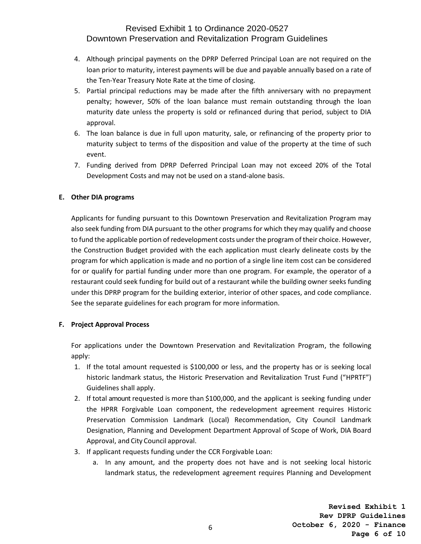- 4. Although principal payments on the DPRP Deferred Principal Loan are not required on the loan prior to maturity, interest payments will be due and payable annually based on a rate of the Ten-Year Treasury Note Rate at the time of closing.
- 5. Partial principal reductions may be made after the fifth anniversary with no prepayment penalty; however, 50% of the loan balance must remain outstanding through the loan maturity date unless the property is sold or refinanced during that period, subject to DIA approval.
- 6. The loan balance is due in full upon maturity, sale, or refinancing of the property prior to maturity subject to terms of the disposition and value of the property at the time of such event.
- 7. Funding derived from DPRP Deferred Principal Loan may not exceed 20% of the Total Development Costs and may not be used on a stand-alone basis.

### **E. Other DIA programs**

Applicants for funding pursuant to this Downtown Preservation and Revitalization Program may also seek funding from DIA pursuant to the other programs for which they may qualify and choose to fund the applicable portion of redevelopment costs under the program of their choice. However, the Construction Budget provided with the each application must clearly delineate costs by the program for which application is made and no portion of a single line item cost can be considered for or qualify for partial funding under more than one program. For example, the operator of a restaurant could seek funding for build out of a restaurant while the building owner seeks funding under this DPRP program for the building exterior, interior of other spaces, and code compliance. See the separate guidelines for each program for more information.

#### **F. Project Approval Process**

For applications under the Downtown Preservation and Revitalization Program, the following apply:

- 1. If the total amount requested is \$100,000 or less, and the property has or is seeking local historic landmark status, the Historic Preservation and Revitalization Trust Fund ("HPRTF") Guidelines shall apply.
- 2. If total amount requested is more than \$100,000, and the applicant is seeking funding under the HPRR Forgivable Loan component, the redevelopment agreement requires Historic Preservation Commission Landmark (Local) Recommendation, City Council Landmark Designation, Planning and Development Department Approval of Scope of Work, DIA Board Approval, and City Council approval.
- 3. If applicant requests funding under the CCR Forgivable Loan:
	- a. In any amount, and the property does not have and is not seeking local historic landmark status, the redevelopment agreement requires Planning and Development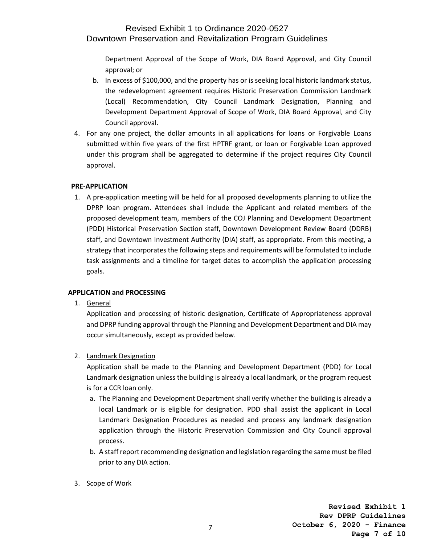Department Approval of the Scope of Work, DIA Board Approval, and City Council approval; or

- b. In excess of \$100,000, and the property has or is seeking local historic landmark status, the redevelopment agreement requires Historic Preservation Commission Landmark (Local) Recommendation, City Council Landmark Designation, Planning and Development Department Approval of Scope of Work, DIA Board Approval, and City Council approval.
- 4. For any one project, the dollar amounts in all applications for loans or Forgivable Loans submitted within five years of the first HPTRF grant, or loan or Forgivable Loan approved under this program shall be aggregated to determine if the project requires City Council approval.

### **PRE-APPLICATION**

1. A pre-application meeting will be held for all proposed developments planning to utilize the DPRP loan program. Attendees shall include the Applicant and related members of the proposed development team, members of the COJ Planning and Development Department (PDD) Historical Preservation Section staff, Downtown Development Review Board (DDRB) staff, and Downtown Investment Authority (DIA) staff, as appropriate. From this meeting, a strategy that incorporates the following steps and requirements will be formulated to include task assignments and a timeline for target dates to accomplish the application processing goals.

### **APPLICATION and PROCESSING**

1. General

Application and processing of historic designation, Certificate of Appropriateness approval and DPRP funding approval through the Planning and Development Department and DIA may occur simultaneously, except as provided below.

2. Landmark Designation

Application shall be made to the Planning and Development Department (PDD) for Local Landmark designation unless the building is already a local landmark, or the program request is for a CCR loan only.

- a. The Planning and Development Department shall verify whether the building is already a local Landmark or is eligible for designation. PDD shall assist the applicant in Local Landmark Designation Procedures as needed and process any landmark designation application through the Historic Preservation Commission and City Council approval process.
- b. A staff report recommending designation and legislation regarding the same must be filed prior to any DIA action.
- 3. Scope of Work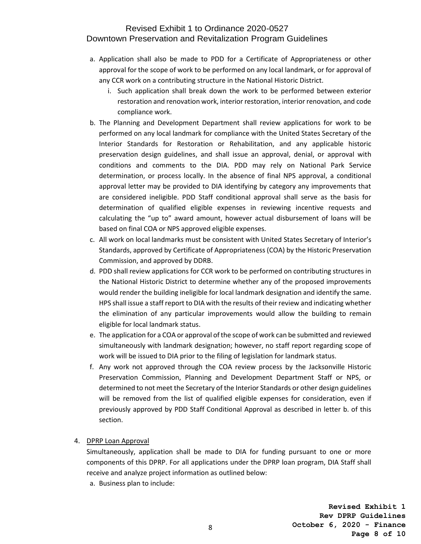- a. Application shall also be made to PDD for a Certificate of Appropriateness or other approval for the scope of work to be performed on any local landmark, or for approval of any CCR work on a contributing structure in the National Historic District.
	- i. Such application shall break down the work to be performed between exterior restoration and renovation work, interior restoration, interior renovation, and code compliance work.
- b. The Planning and Development Department shall review applications for work to be performed on any local landmark for compliance with the United States Secretary of the Interior Standards for Restoration or Rehabilitation, and any applicable historic preservation design guidelines, and shall issue an approval, denial, or approval with conditions and comments to the DIA. PDD may rely on National Park Service determination, or process locally. In the absence of final NPS approval, a conditional approval letter may be provided to DIA identifying by category any improvements that are considered ineligible. PDD Staff conditional approval shall serve as the basis for determination of qualified eligible expenses in reviewing incentive requests and calculating the "up to" award amount, however actual disbursement of loans will be based on final COA or NPS approved eligible expenses.
- c. All work on local landmarks must be consistent with United States Secretary of Interior's Standards, approved by Certificate of Appropriateness (COA) by the Historic Preservation Commission, and approved by DDRB.
- d. PDD shall review applications for CCR work to be performed on contributing structures in the National Historic District to determine whether any of the proposed improvements would render the building ineligible for local landmark designation and identify the same. HPS shall issue a staff report to DIA with the results of their review and indicating whether the elimination of any particular improvements would allow the building to remain eligible for local landmark status.
- e. The application for a COA or approval of the scope of work can be submitted and reviewed simultaneously with landmark designation; however, no staff report regarding scope of work will be issued to DIA prior to the filing of legislation for landmark status.
- f. Any work not approved through the COA review process by the Jacksonville Historic Preservation Commission, Planning and Development Department Staff or NPS, or determined to not meet the Secretary of the Interior Standards or other design guidelines will be removed from the list of qualified eligible expenses for consideration, even if previously approved by PDD Staff Conditional Approval as described in letter b. of this section.
- 4. DPRP Loan Approval

Simultaneously, application shall be made to DIA for funding pursuant to one or more components of this DPRP. For all applications under the DPRP loan program, DIA Staff shall receive and analyze project information as outlined below:

a. Business plan to include: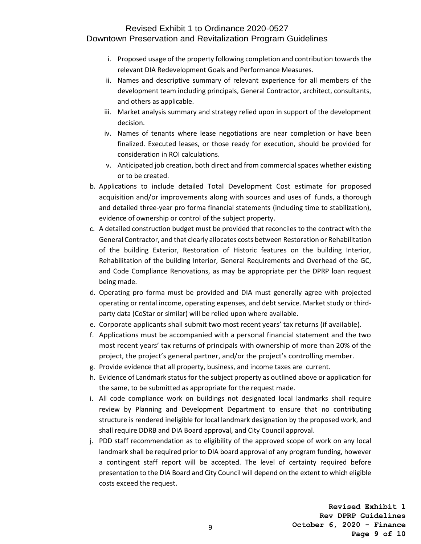- i. Proposed usage of the property following completion and contribution towards the relevant DIA Redevelopment Goals and Performance Measures.
- ii. Names and descriptive summary of relevant experience for all members of the development team including principals, General Contractor, architect, consultants, and others as applicable.
- iii. Market analysis summary and strategy relied upon in support of the development decision.
- iv. Names of tenants where lease negotiations are near completion or have been finalized. Executed leases, or those ready for execution, should be provided for consideration in ROI calculations.
- v. Anticipated job creation, both direct and from commercial spaces whether existing or to be created.
- b. Applications to include detailed Total Development Cost estimate for proposed acquisition and/or improvements along with sources and uses of funds, a thorough and detailed three-year pro forma financial statements (including time to stabilization), evidence of ownership or control of the subject property.
- c. A detailed construction budget must be provided that reconciles to the contract with the General Contractor, and that clearly allocates costs between Restoration or Rehabilitation of the building Exterior, Restoration of Historic features on the building Interior, Rehabilitation of the building Interior, General Requirements and Overhead of the GC, and Code Compliance Renovations, as may be appropriate per the DPRP loan request being made.
- d. Operating pro forma must be provided and DIA must generally agree with projected operating or rental income, operating expenses, and debt service. Market study or thirdparty data (CoStar or similar) will be relied upon where available.
- e. Corporate applicants shall submit two most recent years' tax returns (if available).
- f. Applications must be accompanied with a personal financial statement and the two most recent years' tax returns of principals with ownership of more than 20% of the project, the project's general partner, and/or the project's controlling member.
- g. Provide evidence that all property, business, and income taxes are current.
- h. Evidence of Landmark status for the subject property as outlined above or application for the same, to be submitted as appropriate for the request made.
- i. All code compliance work on buildings not designated local landmarks shall require review by Planning and Development Department to ensure that no contributing structure is rendered ineligible for local landmark designation by the proposed work, and shall require DDRB and DIA Board approval, and City Council approval.
- j. PDD staff recommendation as to eligibility of the approved scope of work on any local landmark shall be required prior to DIA board approval of any program funding, however a contingent staff report will be accepted. The level of certainty required before presentation to the DIA Board and City Council will depend on the extent to which eligible costs exceed the request.